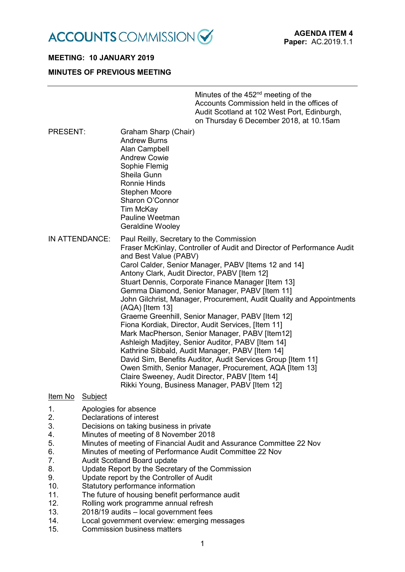

# **MEETING: 10 JANUARY 2019 MINUTES OF PREVIOUS MEETING**

|                |                                                                                                                                                                                                                                                                                                                                                                                                                                                                                                                                                                                                                                                                                                                                                                                                                                                                                                                                                       | Minutes of the 452 <sup>nd</sup> meeting of the<br>Accounts Commission held in the offices of<br>Audit Scotland at 102 West Port, Edinburgh,<br>on Thursday 6 December 2018, at 10.15am |
|----------------|-------------------------------------------------------------------------------------------------------------------------------------------------------------------------------------------------------------------------------------------------------------------------------------------------------------------------------------------------------------------------------------------------------------------------------------------------------------------------------------------------------------------------------------------------------------------------------------------------------------------------------------------------------------------------------------------------------------------------------------------------------------------------------------------------------------------------------------------------------------------------------------------------------------------------------------------------------|-----------------------------------------------------------------------------------------------------------------------------------------------------------------------------------------|
| PRESENT:       | Graham Sharp (Chair)<br><b>Andrew Burns</b><br>Alan Campbell<br><b>Andrew Cowie</b><br>Sophie Flemig<br>Sheila Gunn<br><b>Ronnie Hinds</b><br><b>Stephen Moore</b><br>Sharon O'Connor<br>Tim McKay<br>Pauline Weetman<br><b>Geraldine Wooley</b>                                                                                                                                                                                                                                                                                                                                                                                                                                                                                                                                                                                                                                                                                                      |                                                                                                                                                                                         |
| IN ATTENDANCE: | Paul Reilly, Secretary to the Commission<br>Fraser McKinlay, Controller of Audit and Director of Performance Audit<br>and Best Value (PABV)<br>Carol Calder, Senior Manager, PABV [Items 12 and 14]<br>Antony Clark, Audit Director, PABV [Item 12]<br>Stuart Dennis, Corporate Finance Manager [Item 13]<br>Gemma Diamond, Senior Manager, PABV [Item 11]<br>John Gilchrist, Manager, Procurement, Audit Quality and Appointments<br>(AQA) [Item 13]<br>Graeme Greenhill, Senior Manager, PABV [Item 12]<br>Fiona Kordiak, Director, Audit Services, [Item 11]<br>Mark MacPherson, Senior Manager, PABV [Item12]<br>Ashleigh Madjitey, Senior Auditor, PABV [Item 14]<br>Kathrine Sibbald, Audit Manager, PABV [Item 14]<br>David Sim, Benefits Auditor, Audit Services Group [Item 11]<br>Owen Smith, Senior Manager, Procurement, AQA [Item 13]<br>Claire Sweeney, Audit Director, PABV [Item 14]<br>Rikki Young, Business Manager, PABV [Item 12] |                                                                                                                                                                                         |

# Item No Subject

- 1. Apologies for absence
- 2. Declarations of interest
- 3. Decisions on taking business in private
- 4. Minutes of meeting of 8 November 2018<br>5. Minutes of meeting of Financial Audit and
- Minutes of meeting of Financial Audit and Assurance Committee 22 Nov
- 6. Minutes of meeting of Performance Audit Committee 22 Nov
- 7. Audit Scotland Board update
- 8. Update Report by the Secretary of the Commission
- 9. Update report by the Controller of Audit
- 10. Statutory performance information<br>11. The future of housing benefit perfo
- 11. The future of housing benefit performance audit<br>12 Rolling work programme annual refresh
- Rolling work programme annual refresh
- 13. 2018/19 audits local government fees
- 14. Local government overview: emerging messages
- 15. Commission business matters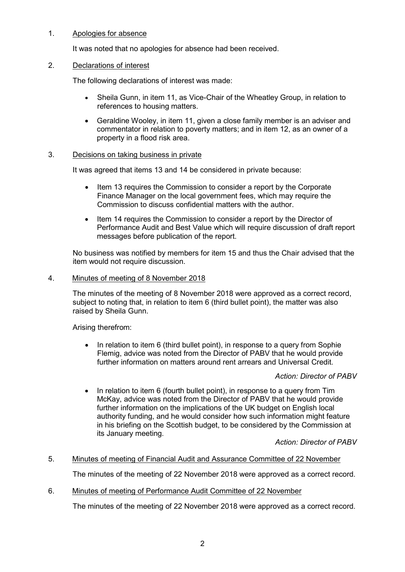# 1. Apologies for absence

It was noted that no apologies for absence had been received.

#### 2. Declarations of interest

The following declarations of interest was made:

- Sheila Gunn, in item 11, as Vice-Chair of the Wheatley Group, in relation to references to housing matters.
- Geraldine Wooley, in item 11, given a close family member is an adviser and commentator in relation to poverty matters; and in item 12, as an owner of a property in a flood risk area.

#### 3. Decisions on taking business in private

It was agreed that items 13 and 14 be considered in private because:

- Item 13 requires the Commission to consider a report by the Corporate Finance Manager on the local government fees, which may require the Commission to discuss confidential matters with the author.
- Item 14 requires the Commission to consider a report by the Director of Performance Audit and Best Value which will require discussion of draft report messages before publication of the report.

No business was notified by members for item 15 and thus the Chair advised that the item would not require discussion.

#### 4. Minutes of meeting of 8 November 2018

The minutes of the meeting of 8 November 2018 were approved as a correct record, subject to noting that, in relation to item 6 (third bullet point), the matter was also raised by Sheila Gunn.

Arising therefrom:

In relation to item 6 (third bullet point), in response to a query from Sophie Flemig, advice was noted from the Director of PABV that he would provide further information on matters around rent arrears and Universal Credit.

# *Action: Director of PABV*

• In relation to item 6 (fourth bullet point), in response to a query from Tim McKay, advice was noted from the Director of PABV that he would provide further information on the implications of the UK budget on English local authority funding, and he would consider how such information might feature in his briefing on the Scottish budget, to be considered by the Commission at its January meeting.

*Action: Director of PABV*

# 5. Minutes of meeting of Financial Audit and Assurance Committee of 22 November

The minutes of the meeting of 22 November 2018 were approved as a correct record.

# 6. Minutes of meeting of Performance Audit Committee of 22 November

The minutes of the meeting of 22 November 2018 were approved as a correct record.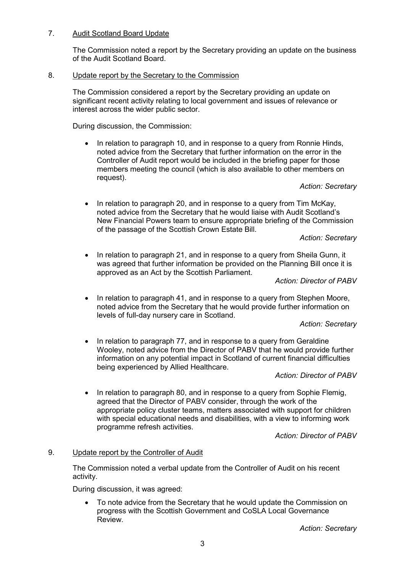# 7. Audit Scotland Board Update

The Commission noted a report by the Secretary providing an update on the business of the Audit Scotland Board.

# 8. Update report by the Secretary to the Commission

The Commission considered a report by the Secretary providing an update on significant recent activity relating to local government and issues of relevance or interest across the wider public sector.

During discussion, the Commission:

• In relation to paragraph 10, and in response to a query from Ronnie Hinds, noted advice from the Secretary that further information on the error in the Controller of Audit report would be included in the briefing paper for those members meeting the council (which is also available to other members on request).

#### *Action: Secretary*

• In relation to paragraph 20, and in response to a query from Tim McKay, noted advice from the Secretary that he would liaise with Audit Scotland's New Financial Powers team to ensure appropriate briefing of the Commission of the passage of the Scottish Crown Estate Bill.

#### *Action: Secretary*

• In relation to paragraph 21, and in response to a query from Sheila Gunn, it was agreed that further information be provided on the Planning Bill once it is approved as an Act by the Scottish Parliament.

*Action: Director of PABV*

• In relation to paragraph 41, and in response to a query from Stephen Moore, noted advice from the Secretary that he would provide further information on levels of full-day nursery care in Scotland.

#### *Action: Secretary*

• In relation to paragraph 77, and in response to a query from Geraldine Wooley, noted advice from the Director of PABV that he would provide further information on any potential impact in Scotland of current financial difficulties being experienced by Allied Healthcare.

*Action: Director of PABV*

• In relation to paragraph 80, and in response to a query from Sophie Flemig, agreed that the Director of PABV consider, through the work of the appropriate policy cluster teams, matters associated with support for children with special educational needs and disabilities, with a view to informing work programme refresh activities.

*Action: Director of PABV*

# 9. Update report by the Controller of Audit

The Commission noted a verbal update from the Controller of Audit on his recent activity.

During discussion, it was agreed:

• To note advice from the Secretary that he would update the Commission on progress with the Scottish Government and CoSLA Local Governance Review.

*Action: Secretary*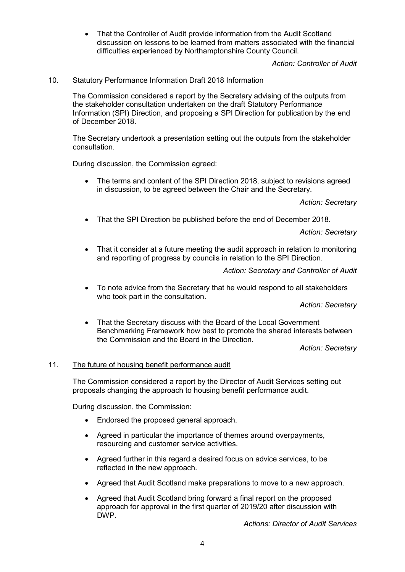• That the Controller of Audit provide information from the Audit Scotland discussion on lessons to be learned from matters associated with the financial difficulties experienced by Northamptonshire County Council.

*Action: Controller of Audit*

#### 10. Statutory Performance Information Draft 2018 Information

The Commission considered a report by the Secretary advising of the outputs from the stakeholder consultation undertaken on the draft Statutory Performance Information (SPI) Direction, and proposing a SPI Direction for publication by the end of December 2018.

The Secretary undertook a presentation setting out the outputs from the stakeholder consultation.

During discussion, the Commission agreed:

• The terms and content of the SPI Direction 2018, subject to revisions agreed in discussion, to be agreed between the Chair and the Secretary.

*Action: Secretary*

• That the SPI Direction be published before the end of December 2018.

*Action: Secretary*

• That it consider at a future meeting the audit approach in relation to monitoring and reporting of progress by councils in relation to the SPI Direction.

*Action: Secretary and Controller of Audit*

• To note advice from the Secretary that he would respond to all stakeholders who took part in the consultation.

*Action: Secretary*

• That the Secretary discuss with the Board of the Local Government Benchmarking Framework how best to promote the shared interests between the Commission and the Board in the Direction.

*Action: Secretary*

#### 11. The future of housing benefit performance audit

The Commission considered a report by the Director of Audit Services setting out proposals changing the approach to housing benefit performance audit.

During discussion, the Commission:

- Endorsed the proposed general approach.
- Agreed in particular the importance of themes around overpayments, resourcing and customer service activities.
- Agreed further in this regard a desired focus on advice services, to be reflected in the new approach.
- Agreed that Audit Scotland make preparations to move to a new approach.
- Agreed that Audit Scotland bring forward a final report on the proposed approach for approval in the first quarter of 2019/20 after discussion with DWP.

*Actions: Director of Audit Services*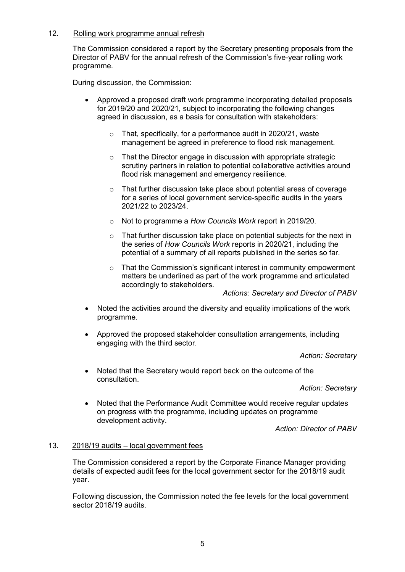# 12. Rolling work programme annual refresh

The Commission considered a report by the Secretary presenting proposals from the Director of PABV for the annual refresh of the Commission's five-year rolling work programme.

During discussion, the Commission:

- Approved a proposed draft work programme incorporating detailed proposals for 2019/20 and 2020/21, subject to incorporating the following changes agreed in discussion, as a basis for consultation with stakeholders:
	- o That, specifically, for a performance audit in 2020/21, waste management be agreed in preference to flood risk management.
	- o That the Director engage in discussion with appropriate strategic scrutiny partners in relation to potential collaborative activities around flood risk management and emergency resilience.
	- o That further discussion take place about potential areas of coverage for a series of local government service-specific audits in the years 2021/22 to 2023/24.
	- o Not to programme a *How Councils Work* report in 2019/20.
	- o That further discussion take place on potential subjects for the next in the series of *How Councils Work* reports in 2020/21, including the potential of a summary of all reports published in the series so far.
	- o That the Commission's significant interest in community empowerment matters be underlined as part of the work programme and articulated accordingly to stakeholders.

*Actions: Secretary and Director of PABV*

- Noted the activities around the diversity and equality implications of the work programme.
- Approved the proposed stakeholder consultation arrangements, including engaging with the third sector.

*Action: Secretary*

• Noted that the Secretary would report back on the outcome of the consultation.

*Action: Secretary*

• Noted that the Performance Audit Committee would receive regular updates on progress with the programme, including updates on programme development activity.

*Action: Director of PABV*

# 13. 2018/19 audits – local government fees

The Commission considered a report by the Corporate Finance Manager providing details of expected audit fees for the local government sector for the 2018/19 audit year.

Following discussion, the Commission noted the fee levels for the local government sector 2018/19 audits.